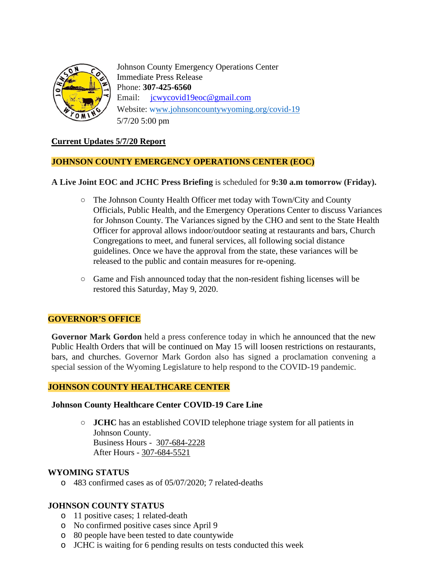

Johnson County Emergency Operations Center Immediate Press Release Phone: **307-425-6560** Email: [jcwycovid19eoc@gmail.com](mailto:jcwycovid19eoc@gmail.com) Website: [www.johnsoncountywyoming.org/covid-19](http://www.johnsoncountywyoming.org/covid-19) 5/7/20 5:00 pm

## **Current Updates 5/7/20 Report**

## **JOHNSON COUNTY EMERGENCY OPERATIONS CENTER (EOC)**

### **A Live Joint EOC and JCHC Press Briefing** is scheduled for **9:30 a.m tomorrow (Friday).**

- **○** The Johnson County Health Officer met today with Town/City and County Officials, Public Health, and the Emergency Operations Center to discuss Variances for Johnson County. The Variances signed by the CHO and sent to the State Health Officer for approval allows indoor/outdoor seating at restaurants and bars, Church Congregations to meet, and funeral services, all following social distance guidelines. Once we have the approval from the state, these variances will be released to the public and contain measures for re-opening.
- **○** Game and Fish announced today that the non-resident fishing licenses will be restored this Saturday, May 9, 2020.

## **GOVERNOR'S OFFICE**

**Governor Mark Gordon** held a press conference today in which he announced that the new Public Health Orders that will be continued on May 15 will loosen restrictions on restaurants, bars, and churches. Governor Mark Gordon also has signed a proclamation convening a special session of the Wyoming Legislature to help respond to the COVID-19 pandemic.

### **JOHNSON COUNTY HEALTHCARE CENTER**

#### **Johnson County Healthcare Center COVID-19 Care Line**

**○ JCHC** has an established COVID telephone triage system for all patients in Johnson County. Business Hours - 307-684-2228 After Hours - 307-684-5521

### **WYOMING STATUS**

o 483 confirmed cases as of 05/07/2020; 7 related-deaths

# **JOHNSON COUNTY STATUS**

- o 11 positive cases; 1 related-death
- o No confirmed positive cases since April 9
- o 80 people have been tested to date countywide
- o JCHC is waiting for 6 pending results on tests conducted this week